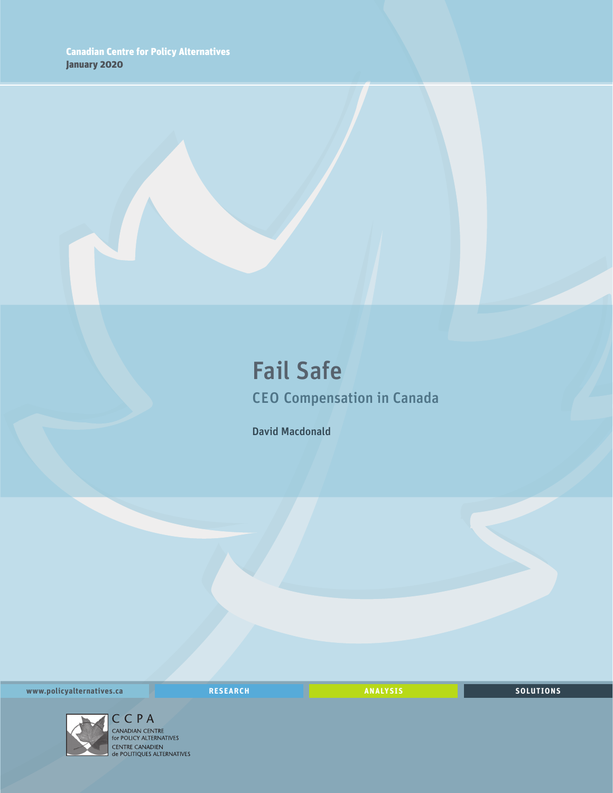### Fail Safe CEO Compensation in Canada

David Macdonald

**www.policyalternatives.ca RESEARCH ANALYSIS SOLUTIONS**



 $\begin{array}{l} \displaystyle \mathop{\mathsf{CC}}\limits_{\displaystyle \mathsf{C}}\mathsf{P}\;\mathsf{A} \end{array}$  canadian centre<br>for policy alternatives<br>centre canadien<br>de politiques alternatives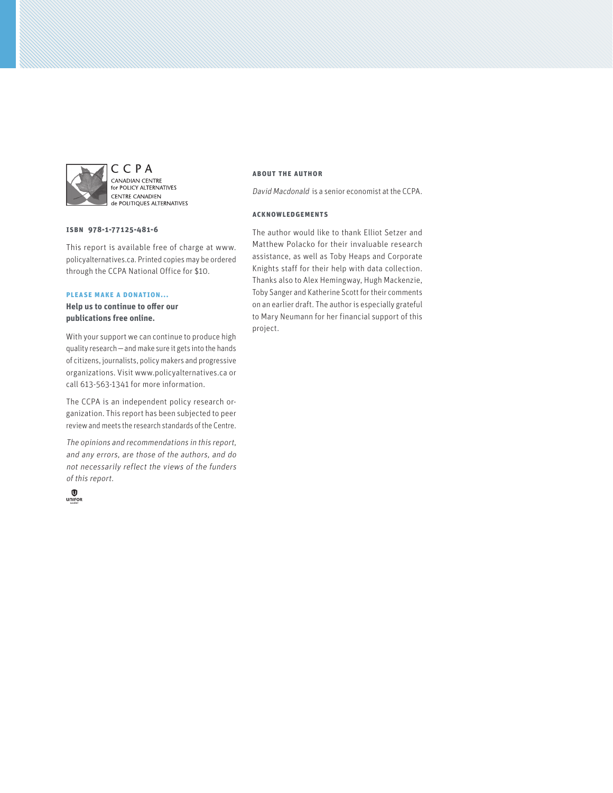

C C P A CANADIAN CENTRE **EXEMPLIER CENTRE**<br>For POLICY ALTERNATIVES **CENTRE CANADIEN** de POLITIQUES ALTERNATIVES

#### **ISBN 978-1-77125-481-6**

This report is available free of charge at www. policyalternatives.ca. Printed copies may be ordered through the CCPA National Office for \$10.

#### **Please make a donation...**

**Help us to continue to offer our publications free online.**

With your support we can continue to produce high quality research—and make sure it gets into the hands of citizens, journalists, policy makers and progressive organizations. Visit www.policyalternatives.ca or call 613-563-1341 for more information.

The CCPA is an independent policy research organization. This report has been subjected to peer review and meets the research standards of the Centre.

The opinions and recommendations in this report, and any errors, are those of the authors, and do not necessarily reflect the views of the funders of this report.



#### **About the author**

David Macdonald is a senior economist at the CCPA.

#### **Acknowledgements**

The author would like to thank Elliot Setzer and Matthew Polacko for their invaluable research assistance, as well as Toby Heaps and Corporate Knights staff for their help with data collection. Thanks also to Alex Hemingway, Hugh Mackenzie, Toby Sanger and Katherine Scott for their comments on an earlier draft. The author is especially grateful to Mary Neumann for her financial support of this project.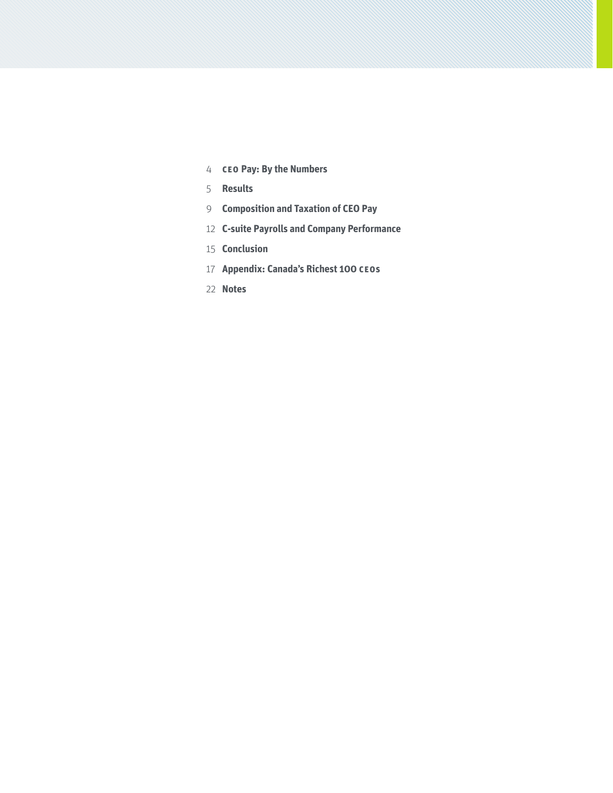- **CEO Pay: By the Numbers**
- **Results**
- **Composition and Taxation of CEO Pay**
- **C-suite Payrolls and Company Performance**
- **Conclusion**
- **Appendix: Canada's Richest 100 CEOs**
- **Notes**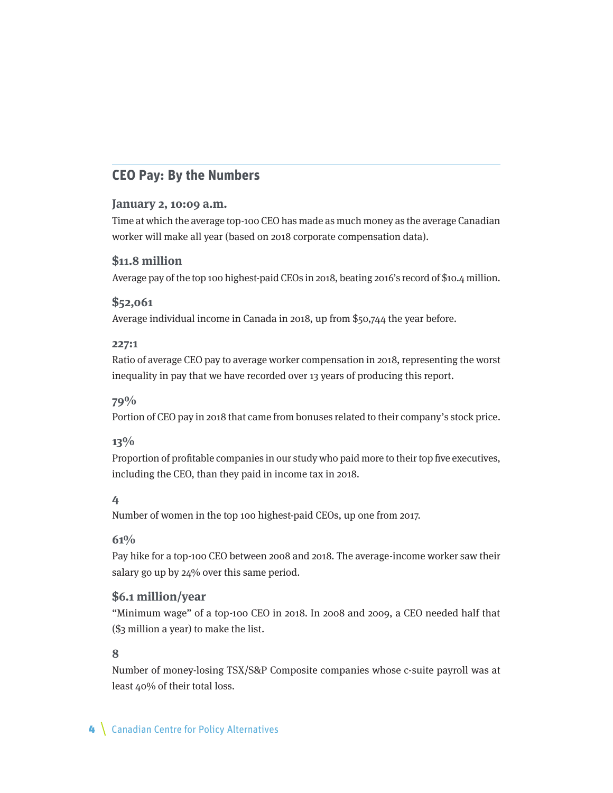### **CEO Pay: By the Numbers**

#### **January 2, 10:09 a.m.**

Time at which the average top-100 CEO has made as much money as the average Canadian worker will make all year (based on 2018 corporate compensation data).

#### **\$11.8 million**

Average pay of the top 100 highest-paid CEOs in 2018, beating 2016's record of \$10.4 million.

#### **\$52,061**

Average individual income in Canada in 2018, up from \$50,744 the year before.

#### **227:1**

Ratio of average CEO pay to average worker compensation in 2018, representing the worst inequality in pay that we have recorded over 13 years of producing this report.

#### **79%**

Portion of CEO pay in 2018 that came from bonuses related to their company's stock price.

#### **13%**

Proportion of profitable companies in our study who paid more to their top five executives, including the CEO, than they paid in income tax in 2018.

#### **4**

Number of women in the top 100 highest-paid CEOs, up one from 2017.

#### **61%**

Pay hike for a top-100 CEO between 2008 and 2018. The average-income worker saw their salary go up by 24% over this same period.

#### **\$6.1 million/year**

"Minimum wage" of a top-100 CEO in 2018. In 2008 and 2009, a CEO needed half that (\$3 million a year) to make the list.

#### **8**

Number of money-losing TSX/S&P Composite companies whose c-suite payroll was at least 40% of their total loss.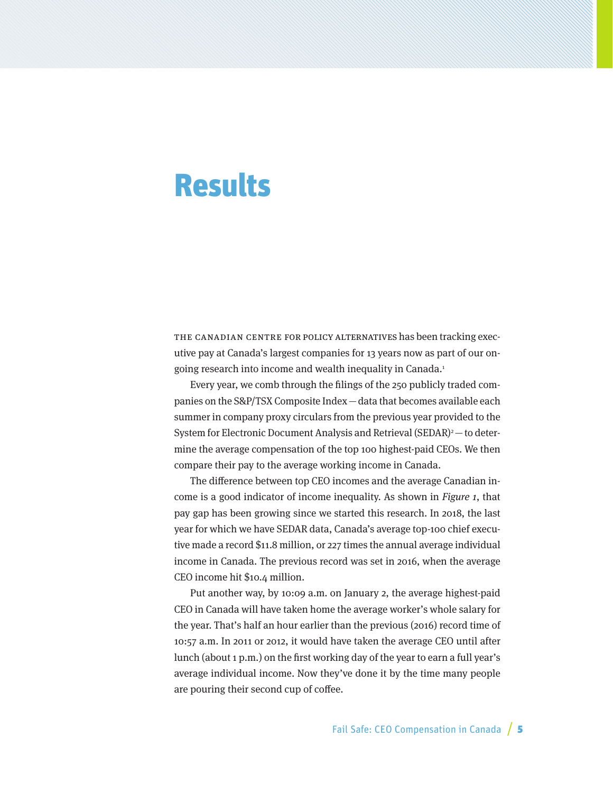## **Results**

THE CANADIAN CENTRE FOR POLICY ALTERNATIVES has been tracking executive pay at Canada's largest companies for 13 years now as part of our ongoing research into income and wealth inequality in Canada.<sup>1</sup>

Every year, we comb through the filings of the 250 publicly traded companies on the S&P/TSX Composite Index—data that becomes available each summer in company proxy circulars from the previous year provided to the System for Electronic Document Analysis and Retrieval  $(SEDAR)^2$  – to determine the average compensation of the top 100 highest-paid CEOs. We then compare their pay to the average working income in Canada.

The difference between top CEO incomes and the average Canadian income is a good indicator of income inequality. As shown in Figure 1, that pay gap has been growing since we started this research. In 2018, the last year for which we have SEDAR data, Canada's average top-100 chief executive made a record \$11.8 million, or 227 times the annual average individual income in Canada. The previous record was set in 2016, when the average CEO income hit \$10.4 million.

Put another way, by 10:09 a.m. on January 2, the average highest-paid CEO in Canada will have taken home the average worker's whole salary for the year. That's half an hour earlier than the previous (2016) record time of 10:57 a.m. In 2011 or 2012, it would have taken the average CEO until after lunch (about 1 p.m.) on the first working day of the year to earn a full year's average individual income. Now they've done it by the time many people are pouring their second cup of coffee.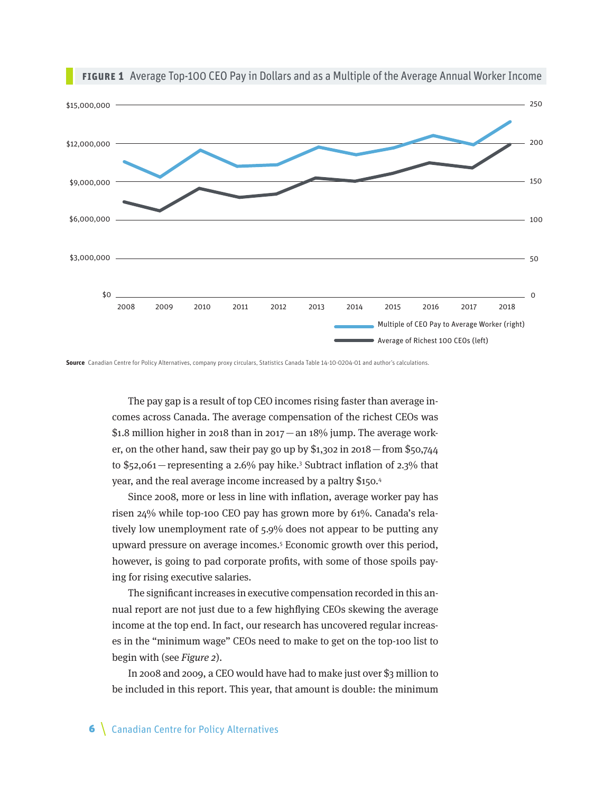

**Figure 1** Average Top-100 CEO Pay in Dollars and as a Multiple of the Average Annual Worker Income

**Source** Canadian Centre for Policy Alternatives, company proxy circulars, Statistics Canada Table 14-10-0204-01 and author's calculations.

The pay gap is a result of top CEO incomes rising faster than average incomes across Canada. The average compensation of the richest CEOs was \$1.8 million higher in 2018 than in 2017 — an 18% jump. The average worker, on the other hand, saw their pay go up by  $$1,302$  in 2018 – from  $$50,744$ to \$52,061 – representing a 2.6% pay hike.<sup>3</sup> Subtract inflation of 2.3% that year, and the real average income increased by a paltry \$150.4

Since 2008, more or less in line with inflation, average worker pay has risen 24% while top-100 CEO pay has grown more by 61%. Canada's relatively low unemployment rate of 5.9% does not appear to be putting any upward pressure on average incomes.5 Economic growth over this period, however, is going to pad corporate profits, with some of those spoils paying for rising executive salaries.

The significant increases in executive compensation recorded in this annual report are not just due to a few highflying CEOs skewing the average income at the top end. In fact, our research has uncovered regular increases in the "minimum wage" CEOs need to make to get on the top-100 list to begin with (see Figure 2).

In 2008 and 2009, a CEO would have had to make just over \$3 million to be included in this report. This year, that amount is double: the minimum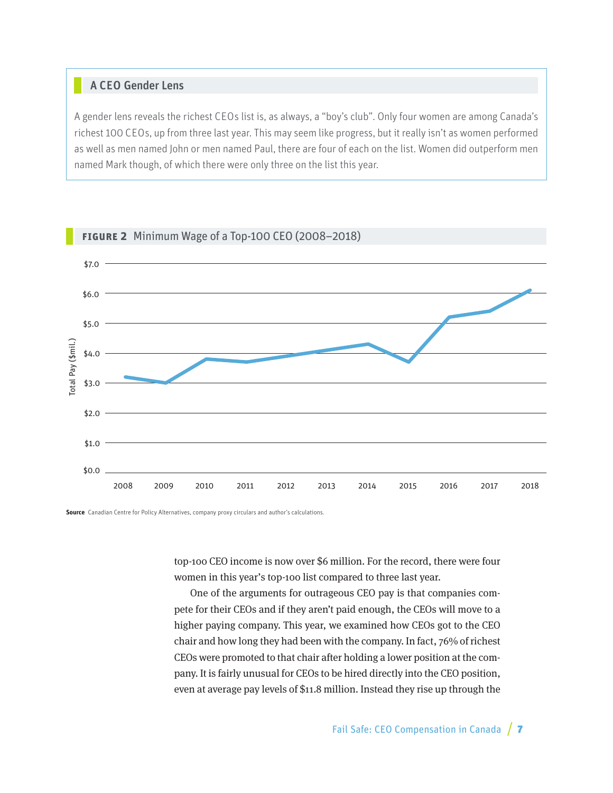#### A CEO Gender Lens

A gender lens reveals the richest CEOs list is, as always, a "boy's club". Only four women are among Canada's richest 100 CEOs, up from three last year. This may seem like progress, but it really isn't as women performed as well as men named John or men named Paul, there are four of each on the list. Women did outperform men named Mark though, of which there were only three on the list this year.



#### **Figure 2** Minimum Wage of a Top-100 CEO (2008–2018)

**Source** Canadian Centre for Policy Alternatives, company proxy circulars and author's calculations.

top-100 CEO income is now over \$6 million. For the record, there were four women in this year's top-100 list compared to three last year.

One of the arguments for outrageous CEO pay is that companies compete for their CEOs and if they aren't paid enough, the CEOs will move to a higher paying company. This year, we examined how CEOs got to the CEO chair and how long they had been with the company. In fact, 76% of richest CEOs were promoted to that chair after holding a lower position at the company. It is fairly unusual for CEOs to be hired directly into the CEO position, even at average pay levels of \$11.8 million. Instead they rise up through the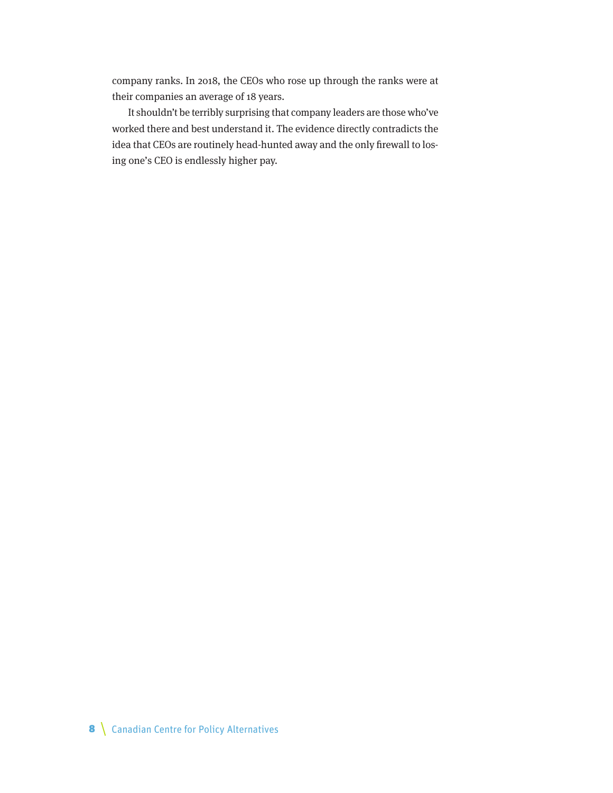company ranks. In 2018, the CEOs who rose up through the ranks were at their companies an average of 18 years.

It shouldn't be terribly surprising that company leaders are those who've worked there and best understand it. The evidence directly contradicts the idea that CEOs are routinely head-hunted away and the only firewall to losing one's CEO is endlessly higher pay.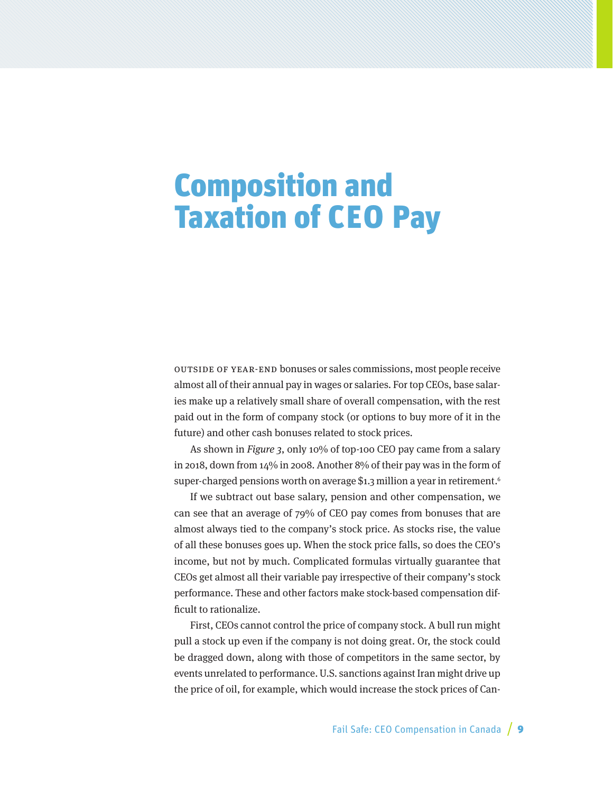# Composition and Taxation of CEO Pay

Outside of year-end bonuses or sales commissions, most people receive almost all of their annual pay in wages or salaries. For top CEOs, base salaries make up a relatively small share of overall compensation, with the rest paid out in the form of company stock (or options to buy more of it in the future) and other cash bonuses related to stock prices.

As shown in Figure 3, only 10% of top-100 CEO pay came from a salary in 2018, down from 14% in 2008. Another 8% of their pay was in the form of super-charged pensions worth on average \$1.3 million a year in retirement.<sup>6</sup>

If we subtract out base salary, pension and other compensation, we can see that an average of 79% of CEO pay comes from bonuses that are almost always tied to the company's stock price. As stocks rise, the value of all these bonuses goes up. When the stock price falls, so does the CEO's income, but not by much. Complicated formulas virtually guarantee that CEOs get almost all their variable pay irrespective of their company's stock performance. These and other factors make stock-based compensation difficult to rationalize.

First, CEOs cannot control the price of company stock. A bull run might pull a stock up even if the company is not doing great. Or, the stock could be dragged down, along with those of competitors in the same sector, by events unrelated to performance. U.S. sanctions against Iran might drive up the price of oil, for example, which would increase the stock prices of Can-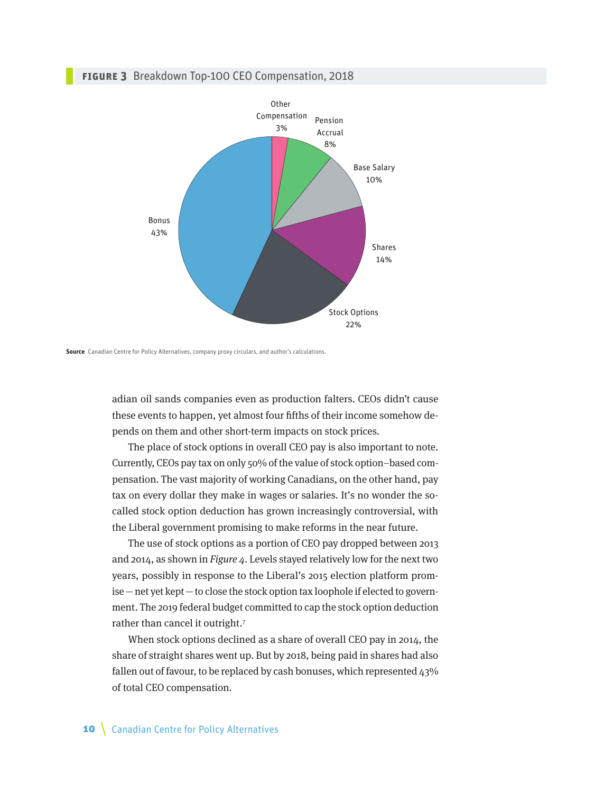#### **Figure 3** Breakdown Top-100 CEO Compensation, 2018



**Source** Canadian Centre for Policy Alternatives, company proxy circulars, and author's calculations.

adian oil sands companies even as production falters. CEOs didn't cause these events to happen, yet almost four fifths of their income somehow depends on them and other short-term impacts on stock prices.

The place of stock options in overall CEO pay is also important to note. Currently, CEOs pay tax on only 50% of the value of stock option–based compensation. The vast majority of working Canadians, on the other hand, pay tax on every dollar they make in wages or salaries. It's no wonder the socalled stock option deduction has grown increasingly controversial, with the Liberal government promising to make reforms in the near future.

The use of stock options as a portion of CEO pay dropped between 2013 and 2014, as shown in Figure 4. Levels stayed relatively low for the next two years, possibly in response to the Liberal's 2015 election platform promise—net yet kept—to close the stock option tax loophole if elected to government. The 2019 federal budget committed to cap the stock option deduction rather than cancel it outright.7

When stock options declined as a share of overall CEO pay in 2014, the share of straight shares went up. But by 2018, being paid in shares had also fallen out of favour, to be replaced by cash bonuses, which represented 43% of total CEO compensation.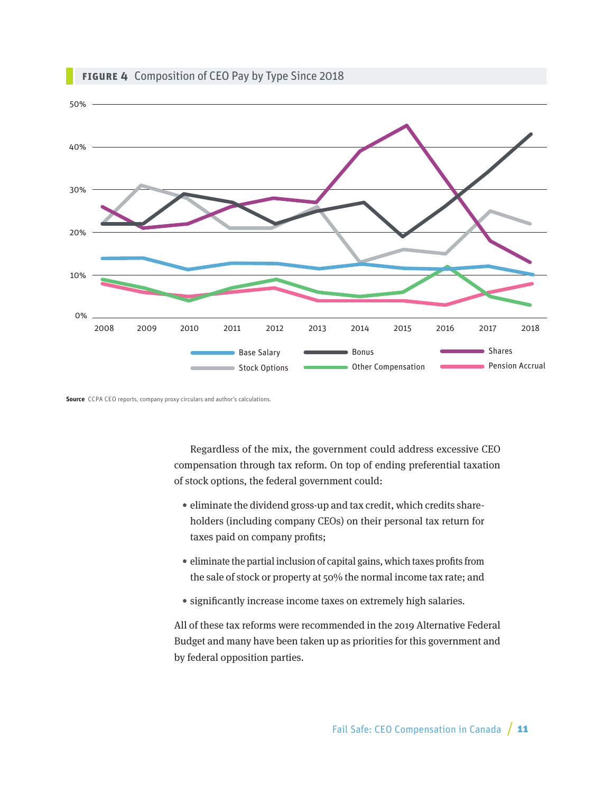

#### **Figure 4** Composition of CEO Pay by Type Since 2018

**Source** CCPA CEO reports, company proxy circulars and author's calculations.

Regardless of the mix, the government could address excessive CEO compensation through tax reform. On top of ending preferential taxation of stock options, the federal government could:

- eliminate the dividend gross-up and tax credit, which credits shareholders (including company CEOs) on their personal tax return for taxes paid on company profits;
- eliminate the partial inclusion of capital gains, which taxes profits from the sale of stock or property at 50% the normal income tax rate; and
- significantly increase income taxes on extremely high salaries.

All of these tax reforms were recommended in the 2019 Alternative Federal Budget and many have been taken up as priorities for this government and by federal opposition parties.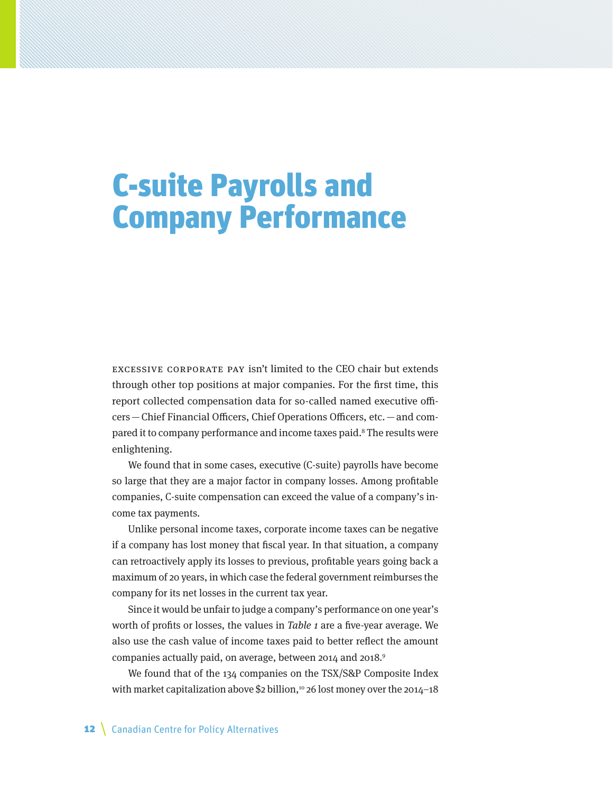# C-suite Payrolls and Company Performance

Excessive corporate pay isn't limited to the CEO chair but extends through other top positions at major companies. For the first time, this report collected compensation data for so-called named executive officers—Chief Financial Officers, Chief Operations Officers, etc.—and compared it to company performance and income taxes paid.<sup>8</sup> The results were enlightening.

We found that in some cases, executive (C-suite) payrolls have become so large that they are a major factor in company losses. Among profitable companies, C-suite compensation can exceed the value of a company's income tax payments.

Unlike personal income taxes, corporate income taxes can be negative if a company has lost money that fiscal year. In that situation, a company can retroactively apply its losses to previous, profitable years going back a maximum of 20 years, in which case the federal government reimburses the company for its net losses in the current tax year.

Since it would be unfair to judge a company's performance on one year's worth of profits or losses, the values in Table 1 are a five-year average. We also use the cash value of income taxes paid to better reflect the amount companies actually paid, on average, between 2014 and 2018.9

We found that of the 134 companies on the TSX/S&P Composite Index with market capitalization above \$2 billion,<sup>10</sup> 26 lost money over the 2014–18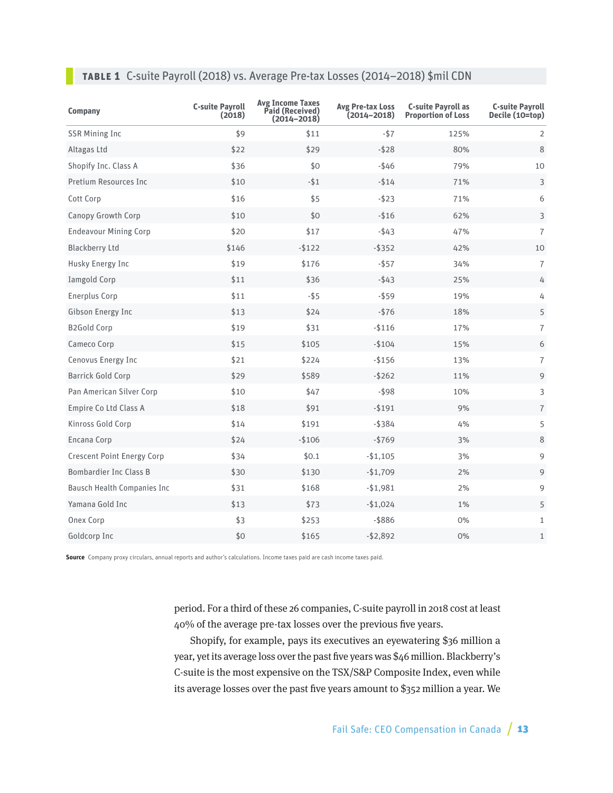### **TABLE 1** C-suite Payroll (2018) vs. Average Pre-tax Losses (2014–2018) \$mil CDN

| Company                            | <b>C-suite Payroll</b><br>(2018) | <b>Avg Income Taxes</b><br>Paid (Received)<br>$(2014 - 2018)$ | <b>Avg Pre-tax Loss</b><br>(2014–2018) | <b>C-suite Payroll as</b><br><b>Proportion of Loss</b> | <b>C-suite Payroll</b><br>Decile (10=top) |
|------------------------------------|----------------------------------|---------------------------------------------------------------|----------------------------------------|--------------------------------------------------------|-------------------------------------------|
| <b>SSR Mining Inc</b>              | \$9                              | \$11                                                          | $-$ \$7                                | 125%                                                   | 2                                         |
| Altagas Ltd                        | \$22                             | \$29                                                          | $-$ \$28                               | 80%                                                    | 8                                         |
| Shopify Inc. Class A               | \$36                             | \$0                                                           | $-$ \$46                               | 79%                                                    | 10                                        |
| Pretium Resources Inc              | \$10                             | $-$ \$1                                                       | $-514$                                 | 71%                                                    | 3                                         |
| Cott Corp                          | \$16                             | \$5                                                           | $-$ \$23                               | 71%                                                    | 6                                         |
| Canopy Growth Corp                 | \$10                             | \$0                                                           | $-$16$                                 | 62%                                                    | 3                                         |
| <b>Endeavour Mining Corp</b>       | \$20                             | \$17                                                          | $-$ \$43                               | 47%                                                    | $\overline{7}$                            |
| <b>Blackberry Ltd</b>              | \$146                            | $-$ \$122                                                     | $-$ \$352                              | 42%                                                    | 10                                        |
| Husky Energy Inc                   | \$19                             | \$176                                                         | $-$ \$57                               | 34%                                                    | $\overline{7}$                            |
| Iamgold Corp                       | \$11                             | \$36                                                          | $-$ \$43                               | 25%                                                    | 4                                         |
| Enerplus Corp                      | \$11                             | $-55$                                                         | $-$ \$59                               | 19%                                                    | 4                                         |
| Gibson Energy Inc                  | \$13                             | \$24                                                          | $-576$                                 | 18%                                                    | 5                                         |
| <b>B2Gold Corp</b>                 | \$19                             | \$31                                                          | $-$116$                                | 17%                                                    | $\overline{7}$                            |
| Cameco Corp                        | \$15                             | \$105                                                         | $-$104$                                | 15%                                                    | 6                                         |
| Cenovus Energy Inc                 | \$21                             | \$224                                                         | $-$156$                                | 13%                                                    | 7                                         |
| <b>Barrick Gold Corp</b>           | \$29                             | \$589                                                         | $-$ \$262                              | 11%                                                    | 9                                         |
| Pan American Silver Corp           | \$10                             | \$47                                                          | $-$ \$98                               | 10%                                                    | 3                                         |
| Empire Co Ltd Class A              | \$18                             | \$91                                                          | $-$ \$191                              | 9%                                                     | $\overline{7}$                            |
| Kinross Gold Corp                  | \$14                             | \$191                                                         | $-$ \$384                              | 4%                                                     | 5                                         |
| Encana Corp                        | \$24                             | $-$106$                                                       | $-5769$                                | 3%                                                     | 8                                         |
| <b>Crescent Point Energy Corp</b>  | \$34                             | \$0.1                                                         | $-$1,105$                              | 3%                                                     | 9                                         |
| <b>Bombardier Inc Class B</b>      | \$30                             | \$130                                                         | $-$1,709$                              | 2%                                                     | 9                                         |
| <b>Bausch Health Companies Inc</b> | \$31                             | \$168                                                         | $-$1,981$                              | 2%                                                     | 9                                         |
| Yamana Gold Inc                    | \$13                             | \$73                                                          | $-$1,024$                              | 1%                                                     | 5                                         |
| Onex Corp                          | \$3                              | \$253                                                         | $-$ \$886                              | 0%                                                     | $\mathbf{1}$                              |
| Goldcorp Inc                       | \$0                              | \$165                                                         | $-$2,892$                              | 0%                                                     | $\mathbf{1}$                              |

**Source** Company proxy circulars, annual reports and author's calculations. Income taxes paid are cash income taxes paid.

period. For a third of these 26 companies, C-suite payroll in 2018 cost at least 40% of the average pre-tax losses over the previous five years.

Shopify, for example, pays its executives an eyewatering \$36 million a year, yet its average loss over the past five years was \$46 million. Blackberry's C-suite is the most expensive on the TSX/S&P Composite Index, even while its average losses over the past five years amount to \$352 million a year. We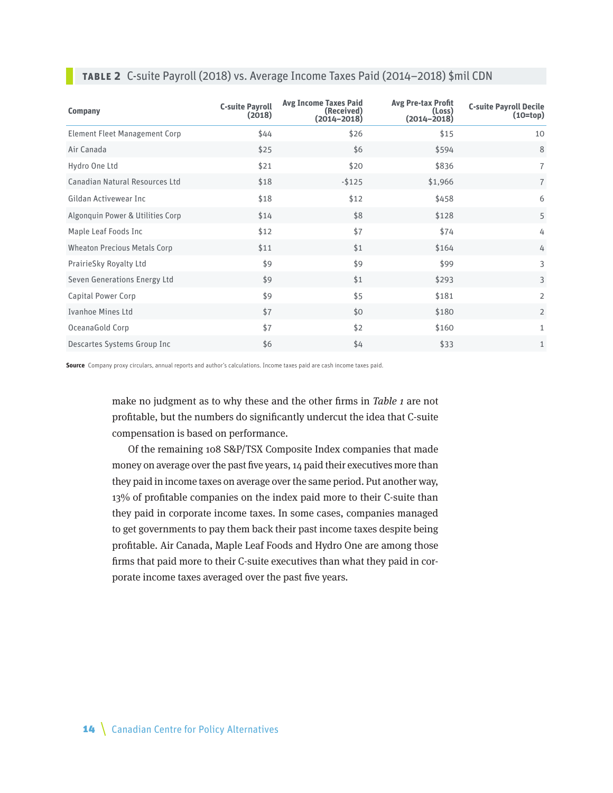| <b>Company</b>                      | <b>C-suite Payroll</b><br>(2018) | <b>Avg Income Taxes Paid</b><br>(Received)<br>$(2014 - 2018)$ | <b>Avg Pre-tax Profit</b><br>(Loss)<br>$(2014 - 2018)$ | <b>C-suite Payroll Decile</b><br>$(10=top)$ |
|-------------------------------------|----------------------------------|---------------------------------------------------------------|--------------------------------------------------------|---------------------------------------------|
| Element Fleet Management Corp       | \$44                             | \$26                                                          | \$15                                                   | 10                                          |
| Air Canada                          | \$25                             | \$6                                                           | \$594                                                  | 8                                           |
| Hydro One Ltd                       | \$21                             | \$20                                                          | \$836                                                  | $\overline{7}$                              |
| Canadian Natural Resources Ltd      | \$18                             | $-$ \$125                                                     | \$1,966                                                | $\overline{7}$                              |
| Gildan Activewear Inc               | \$18                             | \$12                                                          | \$458                                                  | 6                                           |
| Algonquin Power & Utilities Corp    | \$14                             | \$8                                                           | \$128                                                  | 5                                           |
| Maple Leaf Foods Inc                | \$12                             | \$7                                                           | \$74                                                   | 4                                           |
| <b>Wheaton Precious Metals Corp</b> | \$11                             | \$1                                                           | \$164                                                  | 4                                           |
| PrairieSky Royalty Ltd              | \$9                              | \$9                                                           | \$99                                                   | 3                                           |
| Seven Generations Energy Ltd        | \$9                              | \$1                                                           | \$293                                                  | 3                                           |
| Capital Power Corp                  | \$9                              | \$5                                                           | \$181                                                  | $\overline{2}$                              |
| <b>Ivanhoe Mines Ltd</b>            | \$7                              | \$0                                                           | \$180                                                  | $\overline{2}$                              |
| OceanaGold Corp                     | \$7                              | \$2                                                           | \$160                                                  | $\mathbf{1}$                                |
| Descartes Systems Group Inc         | \$6                              | \$4                                                           | \$33                                                   | 1                                           |

#### **TABLE 2** C-suite Payroll (2018) vs. Average Income Taxes Paid (2014–2018) \$mil CDN

**Source** Company proxy circulars, annual reports and author's calculations. Income taxes paid are cash income taxes paid.

make no judgment as to why these and the other firms in Table 1 are not profitable, but the numbers do significantly undercut the idea that C-suite compensation is based on performance.

Of the remaining 108 S&P/TSX Composite Index companies that made money on average over the past five years, 14 paid their executives more than they paid in income taxes on average over the same period. Put another way, 13% of profitable companies on the index paid more to their C-suite than they paid in corporate income taxes. In some cases, companies managed to get governments to pay them back their past income taxes despite being profitable. Air Canada, Maple Leaf Foods and Hydro One are among those firms that paid more to their C-suite executives than what they paid in corporate income taxes averaged over the past five years.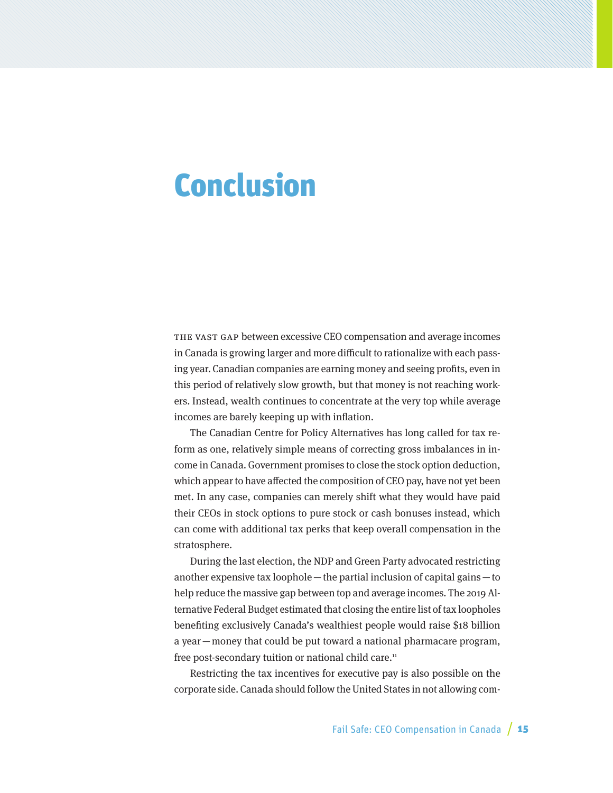## Conclusion

THE VAST GAP between excessive CEO compensation and average incomes in Canada is growing larger and more difficult to rationalize with each passing year. Canadian companies are earning money and seeing profits, even in this period of relatively slow growth, but that money is not reaching workers. Instead, wealth continues to concentrate at the very top while average incomes are barely keeping up with inflation.

The Canadian Centre for Policy Alternatives has long called for tax reform as one, relatively simple means of correcting gross imbalances in income in Canada. Government promises to close the stock option deduction, which appear to have affected the composition of CEO pay, have not yet been met. In any case, companies can merely shift what they would have paid their CEOs in stock options to pure stock or cash bonuses instead, which can come with additional tax perks that keep overall compensation in the stratosphere.

During the last election, the NDP and Green Party advocated restricting another expensive tax loophole—the partial inclusion of capital gains—to help reduce the massive gap between top and average incomes. The 2019 Alternative Federal Budget estimated that closing the entire list of tax loopholes benefiting exclusively Canada's wealthiest people would raise \$18 billion a year—money that could be put toward a national pharmacare program, free post-secondary tuition or national child care.<sup>11</sup>

Restricting the tax incentives for executive pay is also possible on the corporate side. Canada should follow the United States in not allowing com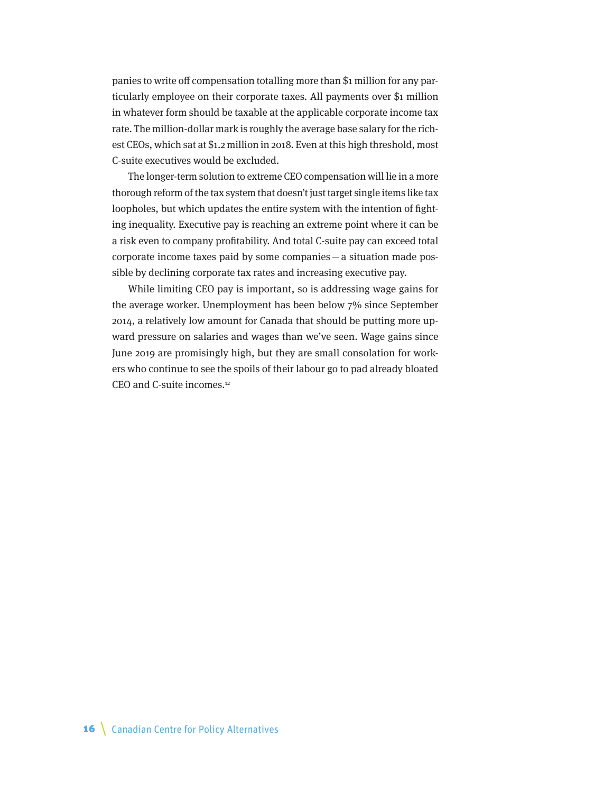panies to write off compensation totalling more than \$1 million for any particularly employee on their corporate taxes. All payments over \$1 million in whatever form should be taxable at the applicable corporate income tax rate. The million-dollar mark is roughly the average base salary for the richest CEOs, which sat at \$1.2 million in 2018. Even at this high threshold, most C-suite executives would be excluded.

The longer-term solution to extreme CEO compensation will lie in a more thorough reform of the tax system that doesn't just target single items like tax loopholes, but which updates the entire system with the intention of fighting inequality. Executive pay is reaching an extreme point where it can be a risk even to company profitability. And total C-suite pay can exceed total corporate income taxes paid by some companies—a situation made possible by declining corporate tax rates and increasing executive pay.

While limiting CEO pay is important, so is addressing wage gains for the average worker. Unemployment has been below 7% since September 2014, a relatively low amount for Canada that should be putting more upward pressure on salaries and wages than we've seen. Wage gains since June 2019 are promisingly high, but they are small consolation for workers who continue to see the spoils of their labour go to pad already bloated CEO and C-suite incomes.12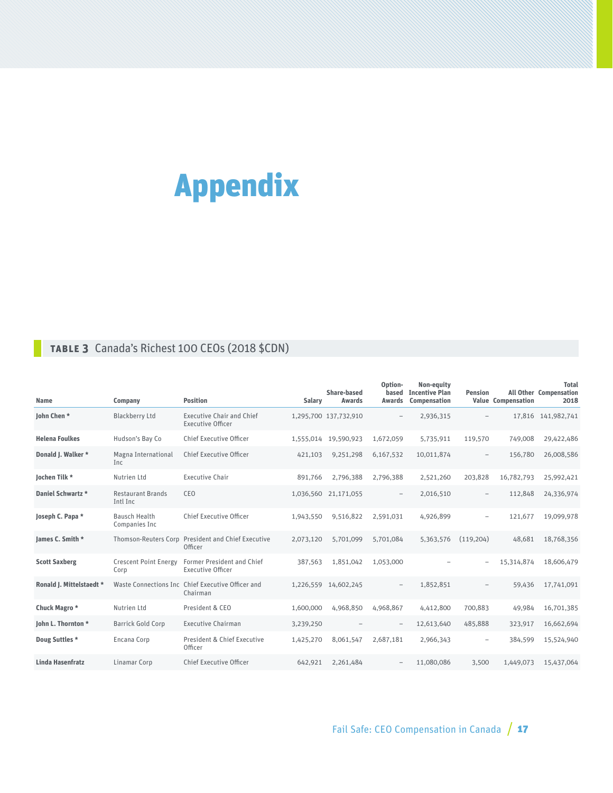# Appendix

### **Table 3** Canada's Richest 100 CEOs (2018 \$CDN)

| <b>Name</b>              | Company                               | <b>Position</b>                                               | Salary    | Share-based<br><b>Awards</b> | Option-<br><b>Awards</b> | Non-equity<br>based Incentive Plan<br>Compensation | <b>Pension</b>           | <b>Value Compensation</b> | <b>Total</b><br><b>All Other Compensation</b><br>2018 |
|--------------------------|---------------------------------------|---------------------------------------------------------------|-----------|------------------------------|--------------------------|----------------------------------------------------|--------------------------|---------------------------|-------------------------------------------------------|
| John Chen*               | <b>Blackberry Ltd</b>                 | <b>Executive Chair and Chief</b><br><b>Executive Officer</b>  |           | 1,295,700 137,732,910        | $\qquad \qquad -$        | 2,936,315                                          |                          |                           | 17,816 141,982,741                                    |
| <b>Helena Foulkes</b>    | Hudson's Bay Co                       | <b>Chief Executive Officer</b>                                |           | 1,555,014 19,590,923         | 1,672,059                | 5,735,911                                          | 119,570                  | 749,008                   | 29,422,486                                            |
| Donald J. Walker *       | Magna International<br>Inc.           | <b>Chief Executive Officer</b>                                | 421,103   | 9,251,298                    | 6,167,532                | 10,011,874                                         | $\overline{\phantom{m}}$ | 156,780                   | 26,008,586                                            |
| Jochen Tilk *            | Nutrien Ltd                           | <b>Executive Chair</b>                                        | 891,766   | 2,796,388                    | 2,796,388                | 2,521,260                                          | 203,828                  | 16,782,793                | 25,992,421                                            |
| Daniel Schwartz *        | <b>Restaurant Brands</b><br>Intl Inc  | CEO                                                           |           | 1,036,560 21,171,055         | $\qquad \qquad -$        | 2,016,510                                          | $\qquad \qquad -$        | 112,848                   | 24,336,974                                            |
| Joseph C. Papa *         | <b>Bausch Health</b><br>Companies Inc | Chief Executive Officer                                       | 1,943,550 | 9,516,822                    | 2,591,031                | 4,926,899                                          | $\overline{\phantom{m}}$ | 121,677                   | 19,099,978                                            |
| James C. Smith *         |                                       | Thomson-Reuters Corp President and Chief Executive<br>Officer | 2,073,120 | 5,701,099                    | 5,701,084                | 5,363,576                                          | (119, 204)               | 48,681                    | 18,768,356                                            |
| <b>Scott Saxberg</b>     | <b>Crescent Point Energy</b><br>Corp  | <b>Former President and Chief</b><br><b>Executive Officer</b> | 387,563   | 1,851,042                    | 1,053,000                |                                                    |                          | 15,314,874                | 18,606,479                                            |
| Ronald J. Mittelstaedt * |                                       | Waste Connections Inc Chief Executive Officer and<br>Chairman |           | 1,226,559 14,602,245         | $\qquad \qquad -$        | 1,852,851                                          |                          | 59,436                    | 17,741,091                                            |
| Chuck Magro *            | Nutrien Ltd                           | President & CEO                                               | 1,600,000 | 4,968,850                    | 4,968,867                | 4,412,800                                          | 700,883                  | 49,984                    | 16,701,385                                            |
| John L. Thornton *       | <b>Barrick Gold Corp</b>              | <b>Executive Chairman</b>                                     | 3,239,250 |                              | $\qquad \qquad -$        | 12,613,640                                         | 485,888                  | 323,917                   | 16,662,694                                            |
| Doug Suttles *           | Encana Corp                           | President & Chief Executive<br>Officer                        | 1,425,270 | 8,061,547                    | 2,687,181                | 2,966,343                                          |                          | 384,599                   | 15,524,940                                            |
| <b>Linda Hasenfratz</b>  | Linamar Corp                          | <b>Chief Executive Officer</b>                                | 642,921   | 2,261,484                    | $\qquad \qquad -$        | 11,080,086                                         | 3,500                    | 1,449,073                 | 15,437,064                                            |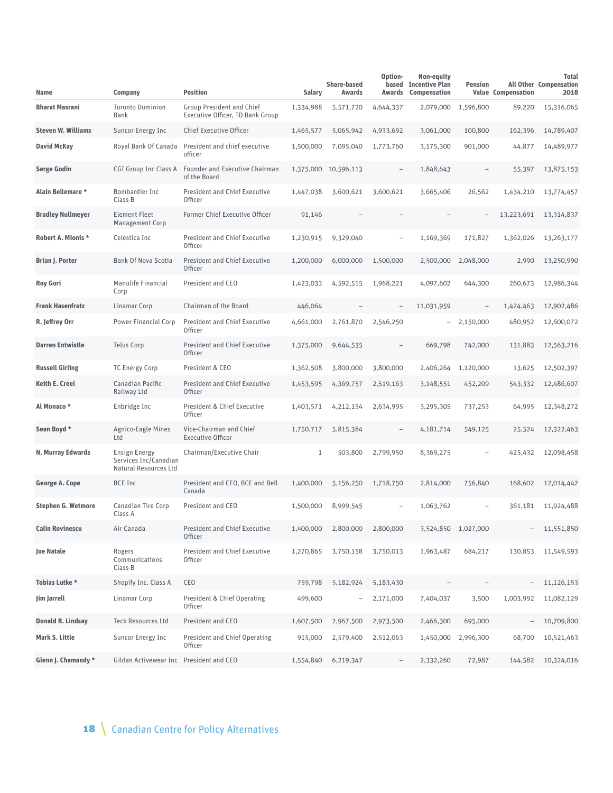| Name                      | Company                                                                | <b>Position</b>                                                      | Salary    | <b>Share-based</b><br><b>Awards</b> | Option-<br>Awards        | Non-equity<br>based Incentive Plan<br>Compensation | <b>Pension</b>           | <b>Value Compensation</b> | <b>Total</b><br><b>All Other Compensation</b><br>2018 |
|---------------------------|------------------------------------------------------------------------|----------------------------------------------------------------------|-----------|-------------------------------------|--------------------------|----------------------------------------------------|--------------------------|---------------------------|-------------------------------------------------------|
| <b>Bharat Masrani</b>     | <b>Toronto Dominion</b><br>Bank                                        | <b>Group President and Chief</b><br>Executive Officer, TD Bank Group | 1,334,988 | 5,571,720                           | 4,644,337                | 2,079,000                                          | 1,596,800                | 89,220                    | 15,316,065                                            |
| <b>Steven W. Williams</b> | Suncor Energy Inc                                                      | Chief Executive Officer                                              | 1,465,577 | 5,065,942                           | 4,933,692                | 3,061,000                                          | 100,800                  | 162,396                   | 14,789,407                                            |
| <b>David McKay</b>        | Royal Bank Of Canada                                                   | President and chief executive<br>officer                             | 1,500,000 | 7,095,040                           | 1,773,760                | 3,175,300                                          | 901,000                  | 44,877                    | 14,489,977                                            |
| <b>Serge Godin</b>        | CGI Group Inc Class A                                                  | Founder and Executive Chairman<br>of the Board                       |           | 1,375,000 10,596,113                |                          | 1,848,643                                          | $\overline{\phantom{a}}$ | 55,397                    | 13,875,153                                            |
| Alain Bellemare *         | Bombardier Inc<br>Class B                                              | <b>President and Chief Executive</b><br>Officer                      | 1,447,038 | 3,600,621                           | 3,600,621                | 3,665,406                                          | 26,562                   | 1,434,210                 | 13,774,457                                            |
| <b>Bradley Nullmeyer</b>  | <b>Element Fleet</b><br>Management Corp                                | Former Chief Executive Officer                                       | 91,146    |                                     |                          |                                                    |                          | 13,223,691                | 13,314,837                                            |
| <b>Robert A. Mionis *</b> | Celestica Inc                                                          | <b>President and Chief Executive</b><br>Officer                      | 1,230,915 | 9,329,040                           | $\qquad \qquad -$        | 1,169,369                                          | 171,827                  | 1,362,026                 | 13,263,177                                            |
| <b>Brian J. Porter</b>    | <b>Bank Of Nova Scotia</b>                                             | <b>President and Chief Executive</b><br>Officer                      | 1,200,000 | 6,000,000                           | 1,500,000                | 2,500,000                                          | 2,048,000                | 2,990                     | 13,250,990                                            |
| <b>Roy Gori</b>           | Manulife Financial<br>Corp                                             | President and CEO                                                    | 1,423,033 | 4,592,515                           | 1,968,221                | 4,097,602                                          | 644,300                  | 260,673                   | 12,986,344                                            |
| <b>Frank Hasenfratz</b>   | Linamar Corp                                                           | Chairman of the Board                                                | 446,064   |                                     | $\overline{\phantom{0}}$ | 11,031,959                                         |                          | 1,424,463                 | 12,902,486                                            |
| R. Jeffrey Orr            | Power Financial Corp                                                   | <b>President and Chief Executive</b><br>Officer                      | 4,661,000 | 2,761,870                           | 2,546,250                |                                                    | 2,150,000                | 480,952                   | 12,600,072                                            |
| <b>Darren Entwistle</b>   | <b>Telus Corp</b>                                                      | <b>President and Chief Executive</b><br>Officer                      | 1,375,000 | 9,644,535                           | $\overline{\phantom{a}}$ | 669,798                                            | 742,000                  | 131,883                   | 12,563,216                                            |
| <b>Russell Girling</b>    | <b>TC Energy Corp</b>                                                  | President & CEO                                                      | 1,362,508 | 3,800,000                           | 3,800,000                | 2,406,264                                          | 1,120,000                | 13,625                    | 12,502,397                                            |
| <b>Keith E. Creel</b>     | Canadian Pacific<br>Railway Ltd                                        | <b>President and Chief Executive</b><br>Officer                      | 1,453,595 | 4,369,757                           | 2,519,163                | 3,148,551                                          | 452,209                  | 543,332                   | 12,486,607                                            |
| Al Monaco *               | Enbridge Inc                                                           | President & Chief Executive<br>Officer                               | 1,403,571 | 4,212,154                           | 2,634,995                | 3,295,305                                          | 737,253                  | 64,995                    | 12,348,272                                            |
| Sean Boyd *               | Agnico-Eagle Mines<br>Ltd                                              | Vice-Chairman and Chief<br><b>Executive Officer</b>                  | 1,750,717 | 5,815,384                           | $\qquad \qquad -$        | 4,181,714                                          | 549,125                  | 25,524                    | 12,322,463                                            |
| N. Murray Edwards         | <b>Ensign Energy</b><br>Services Inc/Canadian<br>Natural Resources Ltd | Chairman/Executive Chair                                             | 1         | 503,800                             | 2,799,950                | 8,369,275                                          | $\overline{\phantom{0}}$ | 425,432                   | 12,098,458                                            |
| George A. Cope            | <b>BCE Inc</b>                                                         | President and CEO, BCE and Bell<br>Canada                            | 1,400,000 | 5,156,250                           | 1,718,750                | 2,814,000                                          | 756,840                  | 168,602                   | 12,014,442                                            |
| <b>Stephen G. Wetmore</b> | Canadian Tire Corp<br>Class A                                          | President and CEO                                                    | 1,500,000 | 8,999,545                           |                          | 1,063,762                                          |                          | 361,181                   | 11,924,488                                            |
| <b>Calin Rovinescu</b>    | Air Canada                                                             | <b>President and Chief Executive</b><br>Officer                      | 1,400,000 | 2,800,000                           | 2,800,000                |                                                    | 3,524,850 1,027,000      |                           | 11,551,850                                            |
| <b>Joe Natale</b>         | Rogers<br>Communications<br>Class B                                    | <b>President and Chief Executive</b><br>Officer                      | 1,270,865 | 3,750,158                           | 3,750,013                | 1,963,487                                          | 684,217                  | 130,853                   | 11,549,593                                            |
| Tobias Lutke *            | Shopify Inc. Class A                                                   | CEO                                                                  | 759,798   | 5,182,924                           | 5,183,430                |                                                    |                          |                           | 11,126,153                                            |
| Jim Jarrell               | Linamar Corp                                                           | President & Chief Operating<br>Officer                               | 499,600   | $\qquad \qquad -$                   | 2,171,000                | 7,404,037                                          | 3,500                    | 1,003,992                 | 11,082,129                                            |
| Donald R. Lindsay         | <b>Teck Resources Ltd</b>                                              | President and CEO                                                    | 1,607,500 | 2,967,500                           | 2,973,500                | 2,466,300                                          | 695,000                  | $\overline{\phantom{a}}$  | 10,709,800                                            |
| Mark S. Little            | Suncor Energy Inc                                                      | President and Chief Operating<br>Officer                             | 915,000   | 2,579,400                           | 2,512,063                | 1,450,000                                          | 2,996,300                | 68,700                    | 10,521,463                                            |
| Glenn J. Chamandy *       | Gildan Activewear Inc President and CEO                                |                                                                      | 1,554,840 | 6,219,347                           | $\overline{\phantom{a}}$ | 2,332,260                                          | 72,987                   | 144,582                   | 10,324,016                                            |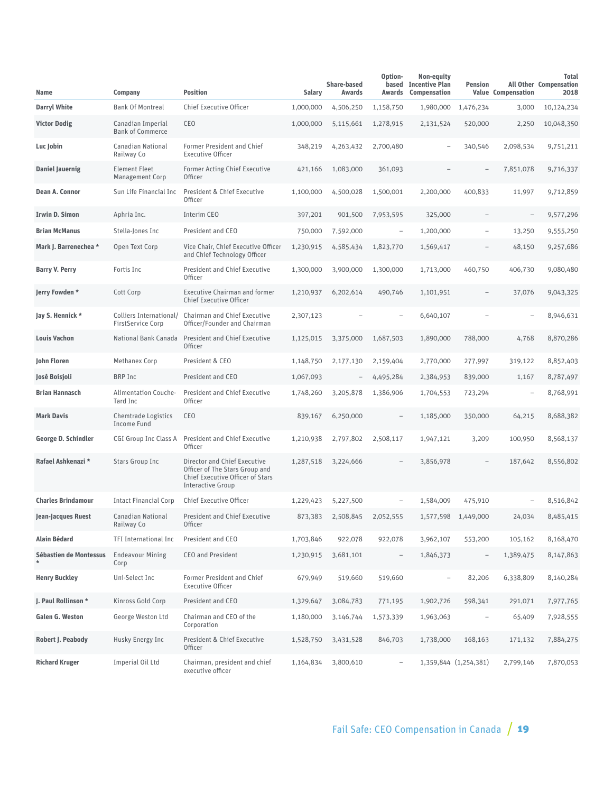| Name                              | Company                                             | <b>Position</b>                                                                                                                       | Salary    | Share-based<br>Awards | Option-<br>Awards        | Non-equity<br>based Incentive Plan<br>Compensation | <b>Pension</b>           | <b>Value Compensation</b> | <b>Total</b><br><b>All Other Compensation</b><br>2018 |
|-----------------------------------|-----------------------------------------------------|---------------------------------------------------------------------------------------------------------------------------------------|-----------|-----------------------|--------------------------|----------------------------------------------------|--------------------------|---------------------------|-------------------------------------------------------|
| <b>Darryl White</b>               | <b>Bank Of Montreal</b>                             | Chief Executive Officer                                                                                                               | 1,000,000 | 4,506,250             | 1,158,750                | 1,980,000                                          | 1,476,234                | 3,000                     | 10,124,234                                            |
| <b>Victor Dodig</b>               | Canadian Imperial<br><b>Bank of Commerce</b>        | CEO                                                                                                                                   | 1,000,000 | 5,115,661             | 1,278,915                | 2,131,524                                          | 520,000                  | 2,250                     | 10,048,350                                            |
| Luc Jobin                         | Canadian National<br>Railway Co                     | Former President and Chief<br><b>Executive Officer</b>                                                                                | 348,219   | 4,263,432             | 2,700,480                | $\equiv$                                           | 340,546                  | 2,098,534                 | 9,751,211                                             |
| <b>Daniel Jauernig</b>            | <b>Element Fleet</b><br><b>Management Corp</b>      | <b>Former Acting Chief Executive</b><br>Officer                                                                                       | 421,166   | 1,083,000             | 361,093                  |                                                    | $\overline{\phantom{0}}$ | 7,851,078                 | 9,716,337                                             |
| Dean A. Connor                    | Sun Life Financial Inc                              | President & Chief Executive<br>Officer                                                                                                | 1,100,000 | 4,500,028             | 1,500,001                | 2,200,000                                          | 400,833                  | 11,997                    | 9,712,859                                             |
| Irwin D. Simon                    | Aphria Inc.                                         | Interim CEO                                                                                                                           | 397,201   | 901,500               | 7,953,595                | 325,000                                            |                          |                           | 9,577,296                                             |
| <b>Brian McManus</b>              | Stella-Jones Inc                                    | President and CEO                                                                                                                     | 750,000   | 7,592,000             | $\overline{a}$           | 1,200,000                                          | $\overline{\phantom{0}}$ | 13,250                    | 9,555,250                                             |
| Mark J. Barrenechea *             | Open Text Corp                                      | Vice Chair, Chief Executive Officer<br>and Chief Technology Officer                                                                   | 1,230,915 | 4,585,434             | 1,823,770                | 1,569,417                                          |                          | 48,150                    | 9,257,686                                             |
| <b>Barry V. Perry</b>             | Fortis Inc                                          | <b>President and Chief Executive</b><br>Officer                                                                                       | 1,300,000 | 3,900,000             | 1,300,000                | 1,713,000                                          | 460,750                  | 406,730                   | 9,080,480                                             |
| Jerry Fowden *                    | Cott Corp                                           | <b>Executive Chairman and former</b><br><b>Chief Executive Officer</b>                                                                | 1,210,937 | 6,202,614             | 490,746                  | 1,101,951                                          | $\overline{\phantom{0}}$ | 37,076                    | 9,043,325                                             |
| Jay S. Hennick *                  | Colliers International/<br><b>FirstService Corp</b> | Chairman and Chief Executive<br>Officer/Founder and Chairman                                                                          | 2,307,123 |                       |                          | 6,640,107                                          |                          |                           | 8,946,631                                             |
| <b>Louis Vachon</b>               | National Bank Canada                                | <b>President and Chief Executive</b><br>Officer                                                                                       | 1,125,015 | 3,375,000             | 1,687,503                | 1,890,000                                          | 788,000                  | 4,768                     | 8,870,286                                             |
| John Floren                       | Methanex Corp                                       | President & CEO                                                                                                                       | 1,148,750 | 2,177,130             | 2,159,404                | 2,770,000                                          | 277,997                  | 319,122                   | 8,852,403                                             |
| José Boisjoli                     | <b>BRP Inc</b>                                      | President and CEO                                                                                                                     | 1,067,093 |                       | 4,495,284                | 2,384,953                                          | 839,000                  | 1,167                     | 8,787,497                                             |
| <b>Brian Hannasch</b>             | Alimentation Couche-<br>Tard Inc                    | <b>President and Chief Executive</b><br><b>Officer</b>                                                                                | 1,748,260 | 3,205,878             | 1,386,906                | 1,704,553                                          | 723,294                  | $\overline{\phantom{0}}$  | 8,768,991                                             |
| <b>Mark Davis</b>                 | Chemtrade Logistics<br>Income Fund                  | CEO                                                                                                                                   | 839,167   | 6,250,000             | $\overline{a}$           | 1,185,000                                          | 350,000                  | 64,215                    | 8,688,382                                             |
| <b>George D. Schindler</b>        | CGI Group Inc Class A                               | <b>President and Chief Executive</b><br><b>Officer</b>                                                                                | 1,210,938 | 2,797,802             | 2,508,117                | 1,947,121                                          | 3,209                    | 100,950                   | 8,568,137                                             |
| Rafael Ashkenazi *                | Stars Group Inc                                     | Director and Chief Executive<br>Officer of The Stars Group and<br><b>Chief Executive Officer of Stars</b><br><b>Interactive Group</b> | 1,287,518 | 3,224,666             |                          | 3,856,978                                          |                          | 187,642                   | 8,556,802                                             |
| <b>Charles Brindamour</b>         | <b>Intact Financial Corp</b>                        | Chief Executive Officer                                                                                                               | 1,229,423 | 5,227,500             | $\overline{\phantom{0}}$ | 1,584,009                                          | 475,910                  |                           | 8,516,842                                             |
| Jean-Jacques Ruest                | Canadian National<br>Railway Co                     | <b>President and Chief Executive</b><br>Officer                                                                                       | 873.383   | 2,508,845             | 2,052,555                | 1,577,598                                          | 1,449,000                | 24,034                    | 8,485,415                                             |
| <b>Alain Bédard</b>               | <b>TFI International Inc.</b>                       | President and CEO                                                                                                                     | 1,703,846 | 922,078               | 922,078                  | 3,962,107                                          | 553,200                  | 105,162                   | 8,168,470                                             |
| Sébastien de Montessus<br>$\star$ | <b>Endeavour Mining</b><br>Corp                     | <b>CEO</b> and President                                                                                                              | 1,230,915 | 3,681,101             | $\overline{\phantom{a}}$ | 1,846,373                                          | $\overline{\phantom{a}}$ | 1,389,475                 | 8,147,863                                             |
| <b>Henry Buckley</b>              | Uni-Select Inc                                      | Former President and Chief<br><b>Executive Officer</b>                                                                                | 679,949   | 519,660               | 519,660                  | $\qquad \qquad -$                                  | 82,206                   | 6,338,809                 | 8,140,284                                             |
| J. Paul Rollinson *               | Kinross Gold Corp                                   | President and CEO                                                                                                                     | 1,329,647 | 3,084,783             | 771,195                  | 1,902,726                                          | 598,341                  | 291,071                   | 7,977,765                                             |
| Galen G. Weston                   | George Weston Ltd                                   | Chairman and CEO of the<br>Corporation                                                                                                | 1,180,000 | 3,146,744             | 1,573,339                | 1,963,063                                          |                          | 65,409                    | 7,928,555                                             |
| <b>Robert J. Peabody</b>          | Husky Energy Inc                                    | President & Chief Executive<br>Officer                                                                                                | 1,528,750 | 3,431,528             | 846,703                  | 1,738,000                                          | 168,163                  | 171,132                   | 7,884,275                                             |
| <b>Richard Kruger</b>             | Imperial Oil Ltd                                    | Chairman, president and chief<br>executive officer                                                                                    | 1,164,834 | 3,800,610             | $\overline{\phantom{a}}$ |                                                    | 1,359,844 (1,254,381)    | 2,799,146                 | 7,870,053                                             |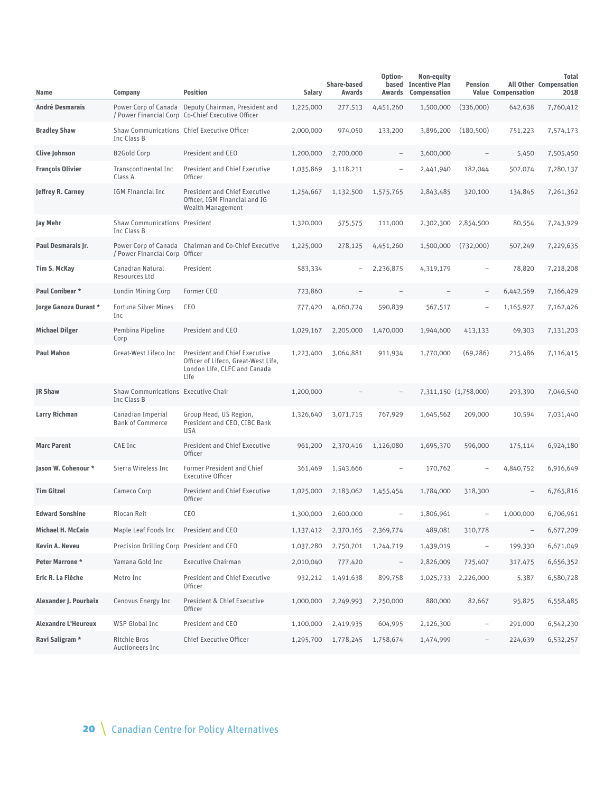| Name                       | Company                                             | <b>Position</b>                                                                                                     | Salary    | <b>Share-based</b><br>Awards | Option-<br>Awards        | Non-equity<br>based Incentive Plan<br>Compensation | <b>Pension</b>           | <b>Value Compensation</b> | <b>Total</b><br><b>All Other Compensation</b><br>2018 |
|----------------------------|-----------------------------------------------------|---------------------------------------------------------------------------------------------------------------------|-----------|------------------------------|--------------------------|----------------------------------------------------|--------------------------|---------------------------|-------------------------------------------------------|
| <b>André Desmarais</b>     |                                                     | Power Corp of Canada Deputy Chairman, President and<br>/ Power Financial Corp Co-Chief Executive Officer            | 1,225,000 | 277,513                      | 4,451,260                | 1,500,000                                          | (336,000)                | 642,638                   | 7,760,412                                             |
| <b>Bradley Shaw</b>        | <b>Inc Class B</b>                                  | Shaw Communications Chief Executive Officer                                                                         | 2,000,000 | 974,050                      | 133,200                  | 3,896,200                                          | (180, 500)               | 751,223                   | 7,574,173                                             |
| <b>Clive Johnson</b>       | <b>B2Gold Corp</b>                                  | President and CEO                                                                                                   | 1,200,000 | 2,700,000                    | $\qquad \qquad -$        | 3,600,000                                          | $\overline{\phantom{0}}$ | 5,450                     | 7,505,450                                             |
| <b>François Olivier</b>    | Transcontinental Inc<br>Class A                     | <b>President and Chief Executive</b><br>Officer                                                                     | 1,035,869 | 3,118,211                    | ÷                        | 2,441,940                                          | 182,044                  | 502,074                   | 7,280,137                                             |
| Jeffrey R. Carney          | IGM Financial Inc                                   | <b>President and Chief Executive</b><br>Officer, IGM Financial and IG<br>Wealth Management                          | 1,254,667 | 1,132,500                    | 1,575,765                | 2,843,485                                          | 320,100                  | 134,845                   | 7,261,362                                             |
| Jay Mehr                   | <b>Shaw Communications President</b><br>Inc Class B |                                                                                                                     | 1,320,000 | 575,575                      | 111,000                  | 2,302,300                                          | 2,854,500                | 80,554                    | 7,243,929                                             |
| Paul Desmarais Jr.         | / Power Financial Corp Officer                      | Power Corp of Canada Chairman and Co-Chief Executive                                                                | 1,225,000 | 278,125                      | 4,451,260                | 1,500,000                                          | (732,000)                | 507,249                   | 7,229,635                                             |
| <b>Tim S. McKay</b>        | Canadian Natural<br>Resources Ltd                   | President                                                                                                           | 583,334   |                              | 2,236,875                | 4,319,179                                          | $\overline{\phantom{0}}$ | 78,820                    | 7,218,208                                             |
| Paul Conibear *            | Lundin Mining Corp                                  | Former CEO                                                                                                          | 723,860   |                              |                          |                                                    | $\overline{\phantom{0}}$ | 6,442,569                 | 7,166,429                                             |
| Jorge Ganoza Durant *      | <b>Fortuna Silver Mines</b><br>Inc                  | CEO                                                                                                                 | 777,420   | 4,060,724                    | 590,839                  | 567,517                                            |                          | 1,165,927                 | 7,162,426                                             |
| <b>Michael Dilger</b>      | Pembina Pipeline<br>Corp                            | President and CEO                                                                                                   | 1,029,167 | 2,205,000                    | 1,470,000                | 1,944,600                                          | 413,133                  | 69,303                    | 7,131,203                                             |
| <b>Paul Mahon</b>          | Great-West Lifeco Inc                               | <b>President and Chief Executive</b><br>Officer of Lifeco. Great-West Life.<br>London Life, CLFC and Canada<br>Life | 1,223,400 | 3,064,881                    | 911,934                  | 1,770,000                                          | (69, 286)                | 215,486                   | 7,116,415                                             |
| JR Shaw                    | Shaw Communications Executive Chair<br>Inc Class B  |                                                                                                                     | 1,200,000 |                              | $\overline{\phantom{0}}$ |                                                    | 7,311,150 (1,758,000)    | 293,390                   | 7,046,540                                             |
| Larry Richman              | Canadian Imperial<br><b>Bank of Commerce</b>        | Group Head, US Region,<br>President and CEO, CIBC Bank<br>USA                                                       | 1,326,640 | 3,071,715                    | 767,929                  | 1,645,562                                          | 209,000                  | 10,594                    | 7,031,440                                             |
| <b>Marc Parent</b>         | CAE Inc                                             | <b>President and Chief Executive</b><br>Officer                                                                     | 961,200   | 2,370,416                    | 1,126,080                | 1,695,370                                          | 596,000                  | 175,114                   | 6,924,180                                             |
| Jason W. Cohenour *        | Sierra Wireless Inc                                 | Former President and Chief<br><b>Executive Officer</b>                                                              | 361,469   | 1,543,666                    | ÷                        | 170,762                                            |                          | 4,840,752                 | 6,916,649                                             |
| <b>Tim Gitzel</b>          | Cameco Corp                                         | <b>President and Chief Executive</b><br>Officer                                                                     | 1,025,000 | 2,183,062                    | 1,455,454                | 1,784,000                                          | 318,300                  |                           | 6,765,816                                             |
| <b>Edward Sonshine</b>     | Riocan Reit                                         | CEO                                                                                                                 | 1,300,000 | 2,600,000                    | $\qquad \qquad -$        | 1,806,961                                          |                          | 1,000,000                 | 6,706,961                                             |
| Michael H. McCain          | Maple Leaf Foods Inc President and CEO              |                                                                                                                     | 1,137,412 | 2,370,165                    | 2,369,774                | 489,081                                            | 310,778                  | $\overline{\phantom{0}}$  | 6,677,209                                             |
| Kevin A. Neveu             | Precision Drilling Corp President and CEO           |                                                                                                                     | 1,037,280 | 2,750,701                    | 1,244,719                | 1,439,019                                          | $\qquad \qquad -$        | 199,330                   | 6,671,049                                             |
| Peter Marrone *            | Yamana Gold Inc                                     | <b>Executive Chairman</b>                                                                                           | 2,010,040 | 777,420                      | $\overline{\phantom{a}}$ | 2,826,009                                          | 725,407                  | 317,475                   | 6,656,352                                             |
| Eric R. La Flèche          | Metro Inc                                           | <b>President and Chief Executive</b><br>Officer                                                                     | 932,212   | 1,491,638                    | 899,758                  |                                                    | 1,025,733 2,226,000      | 5,387                     | 6,580,728                                             |
| Alexander J. Pourbaix      | Cenovus Energy Inc                                  | President & Chief Executive<br>Officer                                                                              | 1,000,000 | 2,249,993                    | 2,250,000                | 880,000                                            | 82,667                   | 95,825                    | 6,558,485                                             |
| <b>Alexandre L'Heureux</b> | WSP Global Inc                                      | President and CEO                                                                                                   | 1,100,000 | 2,419,935                    | 604,995                  | 2,126,300                                          | -                        | 291,000                   | 6,542,230                                             |
| Ravi Saligram *            | Ritchie Bros<br>Auctioneers Inc                     | Chief Executive Officer                                                                                             | 1,295,700 | 1,778,245                    | 1,758,674                | 1,474,999                                          |                          | 224,639                   | 6,532,257                                             |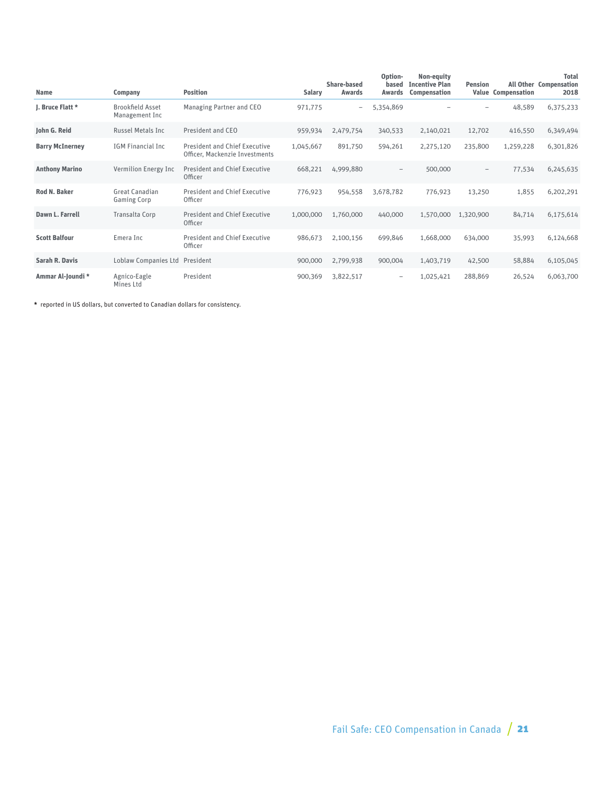| <b>Name</b>            | Company                                   | <b>Position</b>                                                        | <b>Salary</b> | Share-based<br>Awards    | Option-<br>based<br>Awards | Non-equity<br><b>Incentive Plan</b><br>Compensation | <b>Pension</b> | <b>Value Compensation</b> | <b>Total</b><br><b>All Other Compensation</b><br>2018 |
|------------------------|-------------------------------------------|------------------------------------------------------------------------|---------------|--------------------------|----------------------------|-----------------------------------------------------|----------------|---------------------------|-------------------------------------------------------|
| J. Bruce Flatt *       | <b>Brookfield Asset</b><br>Management Inc | Managing Partner and CEO                                               | 971,775       | $\overline{\phantom{0}}$ | 5,354,869                  |                                                     |                | 48,589                    | 6,375,233                                             |
| John G. Reid           | <b>Russel Metals Inc.</b>                 | President and CEO                                                      | 959,934       | 2,479,754                | 340,533                    | 2,140,021                                           | 12,702         | 416,550                   | 6,349,494                                             |
| <b>Barry McInerney</b> | IGM Financial Inc                         | <b>President and Chief Executive</b><br>Officer, Mackenzie Investments | 1,045,667     | 891,750                  | 594,261                    | 2,275,120                                           | 235,800        | 1,259,228                 | 6,301,826                                             |
| <b>Anthony Marino</b>  | Vermilion Energy Inc                      | <b>President and Chief Executive</b><br>Officer                        | 668,221       | 4,999,880                | $\qquad \qquad -$          | 500,000                                             | -              | 77,534                    | 6,245,635                                             |
| <b>Rod N. Baker</b>    | Great Canadian<br><b>Gaming Corp</b>      | <b>President and Chief Executive</b><br>Officer                        | 776,923       | 954,558                  | 3,678,782                  | 776,923                                             | 13,250         | 1,855                     | 6,202,291                                             |
| Dawn L. Farrell        | Transalta Corp                            | <b>President and Chief Executive</b><br>Officer                        | 1,000,000     | 1,760,000                | 440,000                    | 1,570,000                                           | 1,320,900      | 84,714                    | 6,175,614                                             |
| <b>Scott Balfour</b>   | Emera Inc                                 | <b>President and Chief Executive</b><br>Officer                        | 986,673       | 2,100,156                | 699,846                    | 1,668,000                                           | 634,000        | 35,993                    | 6,124,668                                             |
| Sarah R. Davis         | Loblaw Companies Ltd President            |                                                                        | 900,000       | 2,799,938                | 900,004                    | 1,403,719                                           | 42,500         | 58,884                    | 6,105,045                                             |
| Ammar Al-Joundi *      | Agnico-Eagle<br>Mines Ltd                 | President                                                              | 900,369       | 3,822,517                | $\qquad \qquad =$          | 1,025,421                                           | 288,869        | 26,524                    | 6,063,700                                             |

**\*** reported in US dollars, but converted to Canadian dollars for consistency.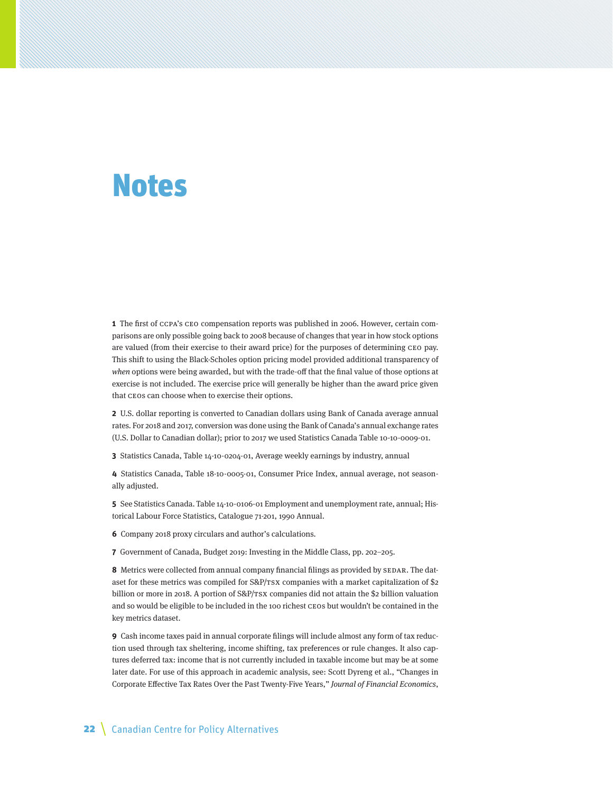## Notes

**1** The first of CCPA's CEO compensation reports was published in 2006. However, certain comparisons are only possible going back to 2008 because of changes that year in how stock options are valued (from their exercise to their award price) for the purposes of determining CEO pay. This shift to using the Black-Scholes option pricing model provided additional transparency of when options were being awarded, but with the trade-off that the final value of those options at exercise is not included. The exercise price will generally be higher than the award price given that CEOs can choose when to exercise their options.

**2** U.S. dollar reporting is converted to Canadian dollars using Bank of Canada average annual rates. For 2018 and 2017, conversion was done using the Bank of Canada's annual exchange rates (U.S. Dollar to Canadian dollar); prior to 2017 we used Statistics Canada Table 10-10-0009-01.

**3** Statistics Canada, Table 14-10-0204-01, Average weekly earnings by industry, annual

**4** Statistics Canada, Table 18-10-0005-01, Consumer Price Index, annual average, not seasonally adjusted.

**5** See Statistics Canada. Table 14-10-0106-01 Employment and unemployment rate, annual; Historical Labour Force Statistics, Catalogue 71-201, 1990 Annual.

**6** Company 2018 proxy circulars and author's calculations.

**7** Government of Canada, Budget 2019: Investing in the Middle Class, pp. 202–205.

**8** Metrics were collected from annual company financial filings as provided by SEDAR. The dataset for these metrics was compiled for S&P/TSX companies with a market capitalization of \$2 billion or more in 2018. A portion of S&P/TSX companies did not attain the \$2 billion valuation and so would be eligible to be included in the 100 richest CEOs but wouldn't be contained in the key metrics dataset.

**9** Cash income taxes paid in annual corporate filings will include almost any form of tax reduction used through tax sheltering, income shifting, tax preferences or rule changes. It also captures deferred tax: income that is not currently included in taxable income but may be at some later date. For use of this approach in academic analysis, see: Scott Dyreng et al., "Changes in Corporate Effective Tax Rates Over the Past Twenty-Five Years," Journal of Financial Economics,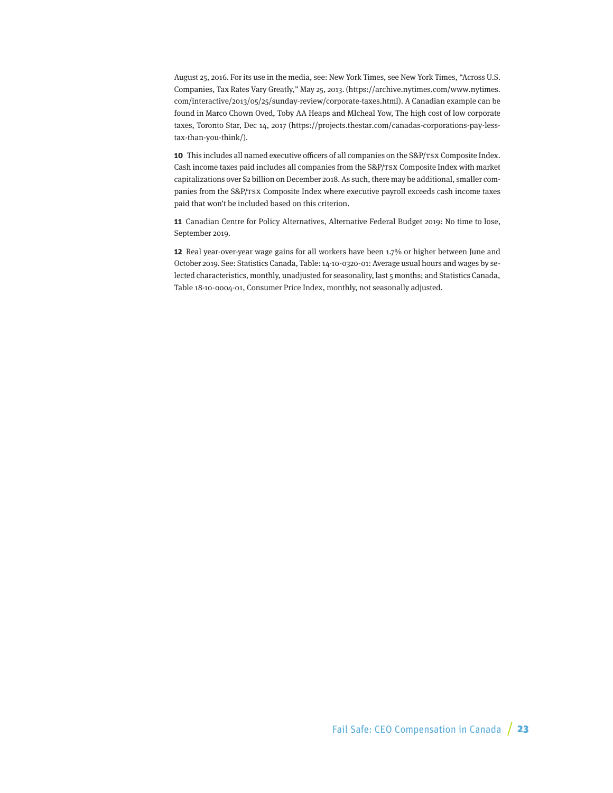August 25, 2016. For its use in the media, see: New York Times, see New York Times, "Across U.S. Companies, Tax Rates Vary Greatly," May 25, 2013. (https://archive.nytimes.com/www.nytimes. com/interactive/2013/05/25/sunday-review/corporate-taxes.html). A Canadian example can be found in Marco Chown Oved, Toby AA Heaps and MIcheal Yow, The high cost of low corporate taxes, Toronto Star, Dec 14, 2017 (https://projects.thestar.com/canadas-corporations-pay-lesstax-than-you-think/).

**10** This includes all named executive officers of all companies on the S&P/TSX Composite Index. Cash income taxes paid includes all companies from the S&P/TSX Composite Index with market capitalizations over \$2 billion on December 2018. As such, there may be additional, smaller companies from the S&P/TSX Composite Index where executive payroll exceeds cash income taxes paid that won't be included based on this criterion.

**11** Canadian Centre for Policy Alternatives, Alternative Federal Budget 2019: No time to lose, September 2019.

**12** Real year-over-year wage gains for all workers have been 1.7% or higher between June and October 2019. See: Statistics Canada, Table: 14-10-0320-01: Average usual hours and wages by selected characteristics, monthly, unadjusted for seasonality, last 5 months; and Statistics Canada, Table 18-10-0004-01, Consumer Price Index, monthly, not seasonally adjusted.